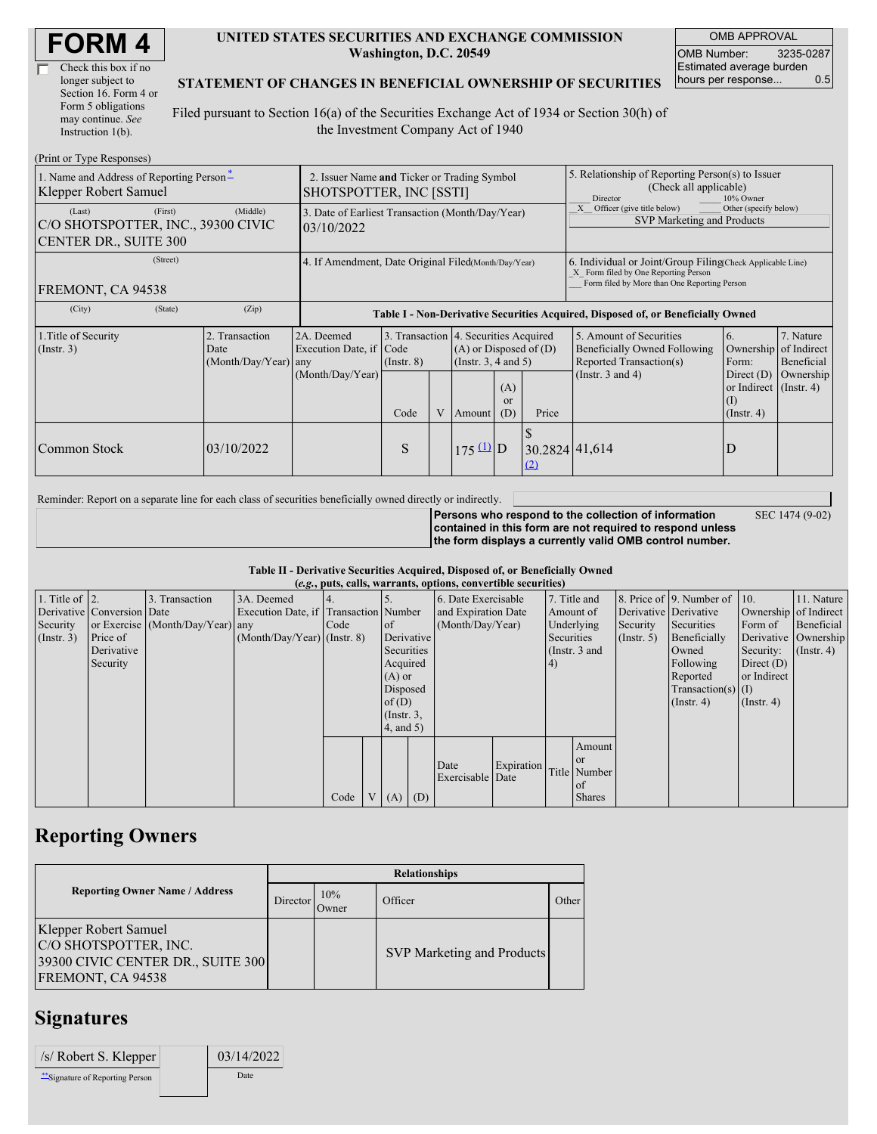| <b>FORM4</b> |
|--------------|
|--------------|

| Check this box if no  |  |
|-----------------------|--|
| longer subject to     |  |
| Section 16. Form 4 or |  |
| Form 5 obligations    |  |
| may continue. See     |  |
| Instruction 1(b).     |  |

 $(Drint or Trma Ba)$ 

#### **UNITED STATES SECURITIES AND EXCHANGE COMMISSION Washington, D.C. 20549**

OMB APPROVAL OMB Number: 3235-0287 Estimated average burden hours per response... 0.5

#### **STATEMENT OF CHANGES IN BENEFICIAL OWNERSHIP OF SECURITIES**

Filed pursuant to Section 16(a) of the Securities Exchange Act of 1934 or Section 30(h) of the Investment Company Act of 1940

| $(1 \text{ min} \text{ of } 1 \text{ ypc} \text{ respectively})$<br>1. Name and Address of Reporting Person-<br>Klepper Robert Samuel | 2. Issuer Name and Ticker or Trading Symbol<br>SHOTSPOTTER, INC [SSTI] |                                                      |                                 |   |                                                                                                                                              |  | 5. Relationship of Reporting Person(s) to Issuer<br>(Check all applicable)<br><b>Director</b><br>10% Owner                                         |                                                                                                             |                                                                                                                         |                                                     |  |
|---------------------------------------------------------------------------------------------------------------------------------------|------------------------------------------------------------------------|------------------------------------------------------|---------------------------------|---|----------------------------------------------------------------------------------------------------------------------------------------------|--|----------------------------------------------------------------------------------------------------------------------------------------------------|-------------------------------------------------------------------------------------------------------------|-------------------------------------------------------------------------------------------------------------------------|-----------------------------------------------------|--|
| (Last)<br>(First)<br>C/O SHOTSPOTTER, INC., 39300 CIVIC<br><b>CENTER DR., SUITE 300</b>                                               | 3. Date of Earliest Transaction (Month/Day/Year)<br>03/10/2022         |                                                      |                                 |   |                                                                                                                                              |  | Other (specify below)<br>Officer (give title below)<br>SVP Marketing and Products                                                                  |                                                                                                             |                                                                                                                         |                                                     |  |
| (Street)<br>FREMONT, CA 94538                                                                                                         | 4. If Amendment, Date Original Filed(Month/Day/Year)                   |                                                      |                                 |   |                                                                                                                                              |  | 6. Individual or Joint/Group Filing Check Applicable Line)<br>X Form filed by One Reporting Person<br>Form filed by More than One Reporting Person |                                                                                                             |                                                                                                                         |                                                     |  |
| (City)<br>(State)                                                                                                                     | (Zip)                                                                  |                                                      |                                 |   |                                                                                                                                              |  |                                                                                                                                                    | Table I - Non-Derivative Securities Acquired, Disposed of, or Beneficially Owned                            |                                                                                                                         |                                                     |  |
| 1. Title of Security<br>$($ Instr. 3 $)$                                                                                              | 2. Transaction<br>Date<br>(Month/Day/Year) any                         | 2A. Deemed<br>Execution Date, if<br>(Month/Day/Year) | Code<br>$($ Instr. $8)$<br>Code | V | 3. Transaction 4. Securities Acquired<br>$(A)$ or Disposed of $(D)$<br>(Instr. 3, 4 and 5)<br>(A)<br><sub>or</sub><br>(D)<br>Price<br>Amount |  |                                                                                                                                                    | 5. Amount of Securities<br>Beneficially Owned Following<br>Reported Transaction(s)<br>(Instr. $3$ and $4$ ) | 6.<br>Ownership<br>Form:<br>Direct $(D)$<br>or Indirect $($ Instr. 4 $)$<br>$\left( \Gamma \right)$<br>$($ Instr. 4 $)$ | 7. Nature<br>of Indirect<br>Beneficial<br>Ownership |  |
| Common Stock                                                                                                                          | 03/10/2022                                                             |                                                      | S                               |   | $175 \underline{u}$ D                                                                                                                        |  | 30.2824 41,614<br>(2)                                                                                                                              |                                                                                                             | D                                                                                                                       |                                                     |  |

Reminder: Report on a separate line for each class of securities beneficially owned directly or indirectly.

**Persons who respond to the collection of information contained in this form are not required to respond unless the form displays a currently valid OMB control number.** SEC 1474 (9-02)

**Table II - Derivative Securities Acquired, Disposed of, or Beneficially Owned (***e.g.***, puts, calls, warrants, options, convertible securities)**

|                        |                            |                                  |                                       |      |                 |            | $(c, \zeta, \mu, \zeta)$ cans, warrants, options, convertible securities) |            |            |               |                       |                              |                       |                      |
|------------------------|----------------------------|----------------------------------|---------------------------------------|------|-----------------|------------|---------------------------------------------------------------------------|------------|------------|---------------|-----------------------|------------------------------|-----------------------|----------------------|
| 1. Title of $\vert$ 2. |                            | 3. Transaction                   | 3A. Deemed                            |      |                 |            | 6. Date Exercisable                                                       |            |            | 7. Title and  |                       | 8. Price of 9. Number of 10. |                       | 11. Nature           |
|                        | Derivative Conversion Date |                                  | Execution Date, if Transaction Number |      |                 |            | and Expiration Date                                                       |            |            | Amount of     | Derivative Derivative |                              | Ownership of Indirect |                      |
| Security               |                            | or Exercise (Month/Day/Year) any |                                       | Code | of              |            | (Month/Day/Year)                                                          |            |            | Underlying    | Security              | Securities                   | Form of               | Beneficial           |
| (Insert. 3)            | Price of                   |                                  | $(Month/Day/Year)$ (Instr. 8)         |      |                 | Derivative |                                                                           |            | Securities |               | $($ Instr. 5)         | Beneficially                 |                       | Derivative Ownership |
|                        | Derivative                 |                                  |                                       |      | Securities      |            |                                                                           |            |            | (Instr. 3 and |                       | Owned                        | Security:             | $($ Instr. 4)        |
|                        | Security                   |                                  |                                       |      | Acquired        |            |                                                                           |            | 4)         |               |                       | Following                    | Direct $(D)$          |                      |
|                        |                            |                                  |                                       |      | $(A)$ or        |            |                                                                           |            |            |               |                       | Reported                     | or Indirect           |                      |
|                        |                            |                                  |                                       |      | Disposed        |            |                                                                           |            |            |               |                       | $Transaction(s)$ (I)         |                       |                      |
|                        |                            |                                  |                                       |      | of $(D)$        |            |                                                                           |            |            |               |                       | $($ Instr. 4)                | $($ Instr. 4 $)$      |                      |
|                        |                            |                                  |                                       |      | $($ Instr. 3,   |            |                                                                           |            |            |               |                       |                              |                       |                      |
|                        |                            |                                  |                                       |      | $4$ , and $5$ ) |            |                                                                           |            |            |               |                       |                              |                       |                      |
|                        |                            |                                  |                                       |      |                 |            |                                                                           |            |            | Amount        |                       |                              |                       |                      |
|                        |                            |                                  |                                       |      |                 |            | Date                                                                      | Expiration |            | <sub>or</sub> |                       |                              |                       |                      |
|                        |                            |                                  |                                       |      |                 |            | Exercisable Date                                                          |            |            | Title Number  |                       |                              |                       |                      |
|                        |                            |                                  |                                       |      |                 |            |                                                                           |            |            | $\alpha$ f    |                       |                              |                       |                      |
|                        |                            |                                  |                                       | Code | V(A)            | (D)        |                                                                           |            |            | <b>Shares</b> |                       |                              |                       |                      |

### **Reporting Owners**

|                                                                                                          | <b>Relationships</b> |               |                                   |       |  |  |  |  |
|----------------------------------------------------------------------------------------------------------|----------------------|---------------|-----------------------------------|-------|--|--|--|--|
| <b>Reporting Owner Name / Address</b>                                                                    | Director             | 10%<br>Owner) | Officer                           | Other |  |  |  |  |
| Klepper Robert Samuel<br>C/O SHOTSPOTTER, INC.<br>39300 CIVIC CENTER DR., SUITE 300<br>FREMONT, CA 94538 |                      |               | <b>SVP Marketing and Products</b> |       |  |  |  |  |

## **Signatures**

| $/s$ Robert S. Klepper         | 03/14/2022 |
|--------------------------------|------------|
| "Signature of Reporting Person | Date       |